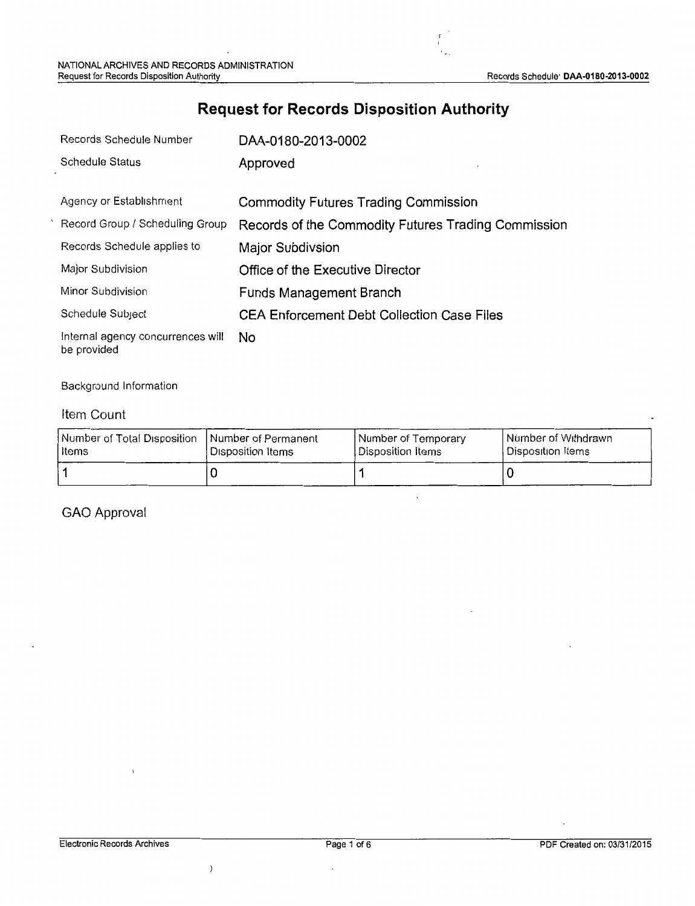## **Request for Records Disposition Authority**

 $\frac{1}{2}$ 

| Records Schedule Number                          | DAA-0180-2013-0002                                  |
|--------------------------------------------------|-----------------------------------------------------|
| Schedule Status                                  | Approved                                            |
|                                                  |                                                     |
| Agency or Establishment                          | <b>Commodity Futures Trading Commission</b>         |
| Record Group / Scheduling Group                  | Records of the Commodity Futures Trading Commission |
| Records Schedule applies to                      | Major Subdivsion                                    |
| Major Subdivision                                | Office of the Executive Director                    |
| Minor Subdivision                                | <b>Funds Management Branch</b>                      |
| Schedule Subject                                 | <b>CEA Enforcement Debt Collection Case Files</b>   |
| Internal agency concurrences will<br>be provided | No                                                  |

#### Background Information

### Item Count

| Number of Total Disposition   Number of Permanent | Disposition Items | Number of Temporary | <b>Number of Withdrawn</b> |
|---------------------------------------------------|-------------------|---------------------|----------------------------|
| l items                                           |                   | Disposition Items   | Disposition Items          |
|                                                   |                   |                     |                            |

 $\ddot{\phantom{0}}$ 

### GAO Approval

 $\,$   $\,$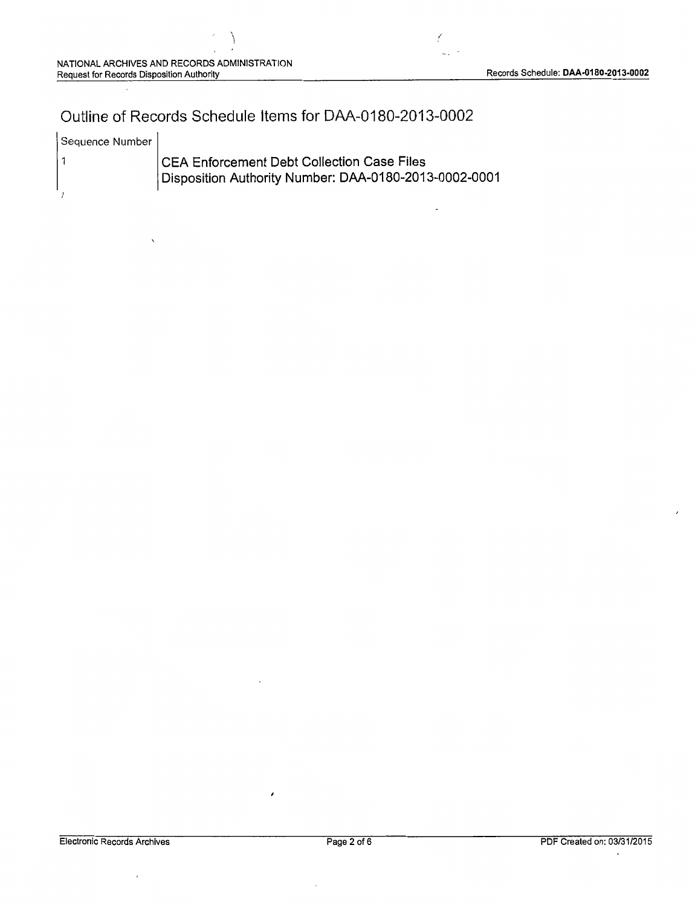## Outline of Records Schedule Items for DAA-0180-2013-0002

| Sequence Number |                                                                                                     |
|-----------------|-----------------------------------------------------------------------------------------------------|
|                 | CEA Enforcement Debt Collection Case Files<br>Disposition Authority Number: DAA-0180-2013-0002-0001 |

k,

 $\lambda$ 

 $\cdot$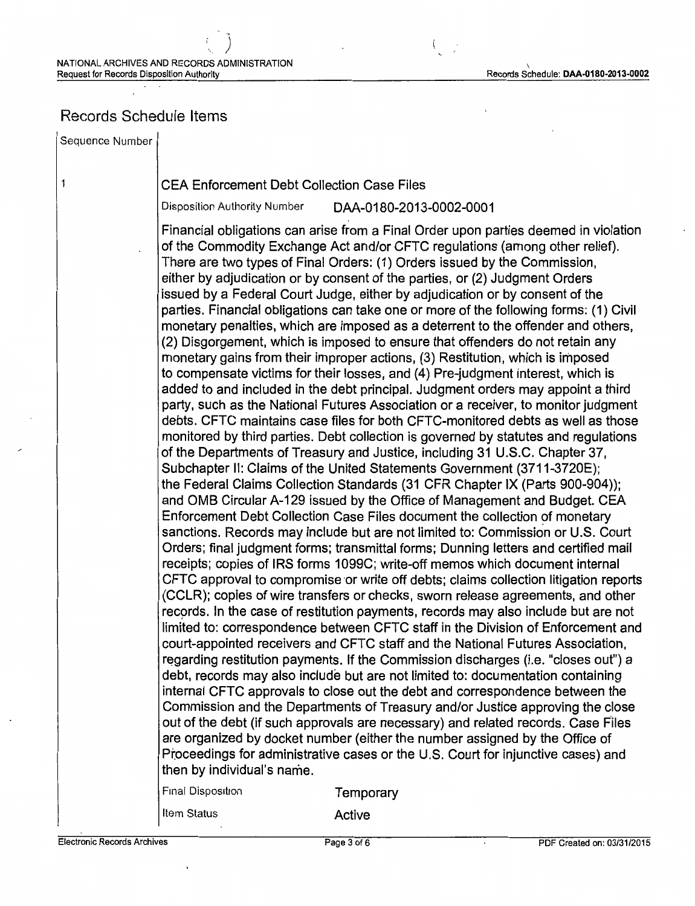### Records Schedule Items

Sequence Number

 $\mathbf{1}$ 

#### CEA Enforcement Debt Collection Case Files

Disposition Authority Number DAA-0180-2013-0002-0001

Financial obligations can arise from a Final Order upon parties deemed in violation of the Commodity Exchange Act and/or CFTC regulations (among other relief). There are two types of Final Orders: (1) Orders issued by the Commission, either by adjudication or by consent of the parties, or (2) Judgment Orders issued by a Federal Court Judge, either by adjudication or by consent of the parties. Financial obligations can take one or more of the following forms: (1) Civil monetary penalties, which are imposed as a deterrent to the offender and others, (2) Disgorgement, which is imposed to ensure that offenders do not retain any monetary gains from their improper actions, (3) Restitution, which is imposed to compensate victims for their losses, and (4) Pre-judgment interest, which is added to and included in the debt principal. Judgment orders may appoint a third party, such as the National Futures Association or a receiver, to monitor judgment debts. CFTC maintains case files for both CFTC-monitored debts as well as those monitored by third parties. Debt collection is governed by statutes and regulations of the Departments of Treasury and Justice, including 31 U.S.C. Chapter 37, Subchapter II: Claims of the United Statements Government (3711-3720E); the Federal Claims Collection Standards (31 CFR Chapter IX (Parts 900-904)); and OMB Circular A-129 issued by the Office of Management and Budget. CEA Enforcement Debt Collection Case Files document the collection of monetary sanctions. Records may include but are not limited to: Commission or U.S. Court Orders; final judgment forms; transmittal forms; Dunning letters and certified mail receipts; copies of IRS forms 1099C; write-off memos which document internal CFTC approval to compromise or write off debts; claims collection litigation reports (CCLR); copies of wire transfers or checks, sworn release agreements, and other records. In the case of restitution payments, records may also include but are not limited to: correspondence between CFTC staff in the Division of Enforcement and court-appointed receivers and CFTC staff and the National Futures Association, regarding restitution payments. If the Commission discharges (i.e. "closes out") a debt, records may also include but are not limited to: documentation containing internal CFTC approvals to close out the debt and correspondence between the Commission and the Departments of Treasury and/or Justice approving the close out of the debt (if such approvals are necessary) and related records. Case Files are organized by docket number (either the number assigned by the Office of Ptoceedings for administrative cases or the U.S. Court for injunctive cases) and then by individual's name.

Final Disposition Temporary

Item Status **Active**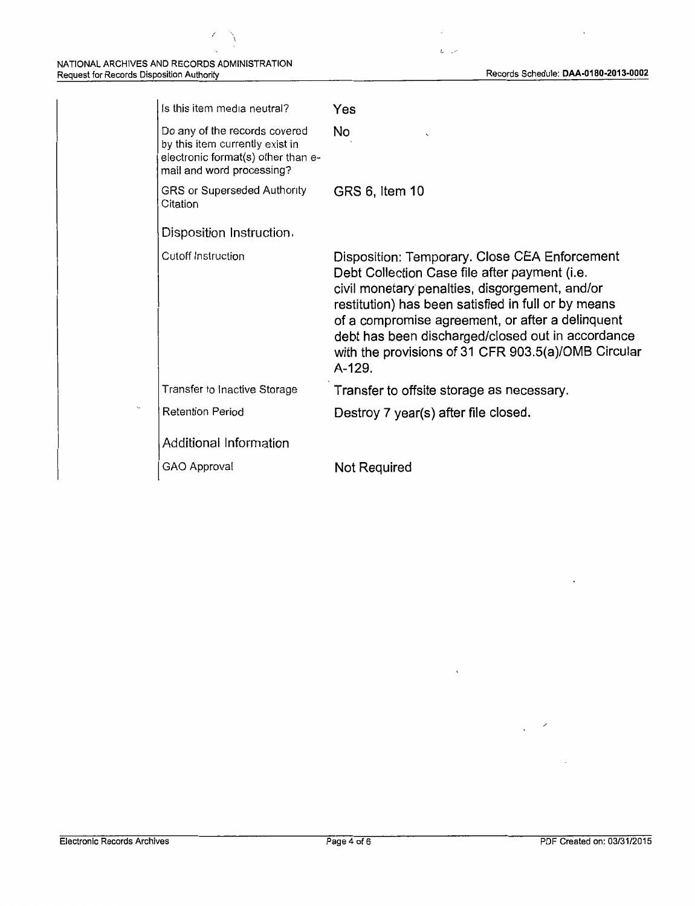$\check{\mathcal{C}}$ 

7

| Is this item media neutral?                                                                                                         | Yes                                                                                                                                                                                                                                                                                                                                                                               |
|-------------------------------------------------------------------------------------------------------------------------------------|-----------------------------------------------------------------------------------------------------------------------------------------------------------------------------------------------------------------------------------------------------------------------------------------------------------------------------------------------------------------------------------|
| Do any of the records covered<br>by this item currently exist in<br>electronic format(s) other than e-<br>mail and word processing? | No                                                                                                                                                                                                                                                                                                                                                                                |
| GRS or Superseded Authority<br>Citation                                                                                             | GRS 6, Item 10                                                                                                                                                                                                                                                                                                                                                                    |
| Disposition Instruction.                                                                                                            |                                                                                                                                                                                                                                                                                                                                                                                   |
| <b>Cutoff Instruction</b>                                                                                                           | Disposition: Temporary. Close CEA Enforcement<br>Debt Collection Case file after payment (i.e.<br>civil monetary penalties, disgorgement, and/or<br>restitution) has been satisfied in full or by means<br>of a compromise agreement, or after a delinquent<br>debt has been discharged/closed out in accordance<br>with the provisions of 31 CFR 903.5(a)/OMB Circular<br>A-129. |
| Transfer to Inactive Storage                                                                                                        | Transfer to offsite storage as necessary.                                                                                                                                                                                                                                                                                                                                         |
| <b>Retention Period</b>                                                                                                             | Destroy 7 year(s) after file closed.                                                                                                                                                                                                                                                                                                                                              |
| Additional Information                                                                                                              |                                                                                                                                                                                                                                                                                                                                                                                   |
| GAO Approval                                                                                                                        | Not Required                                                                                                                                                                                                                                                                                                                                                                      |

l,

 $L \rightarrow \infty$